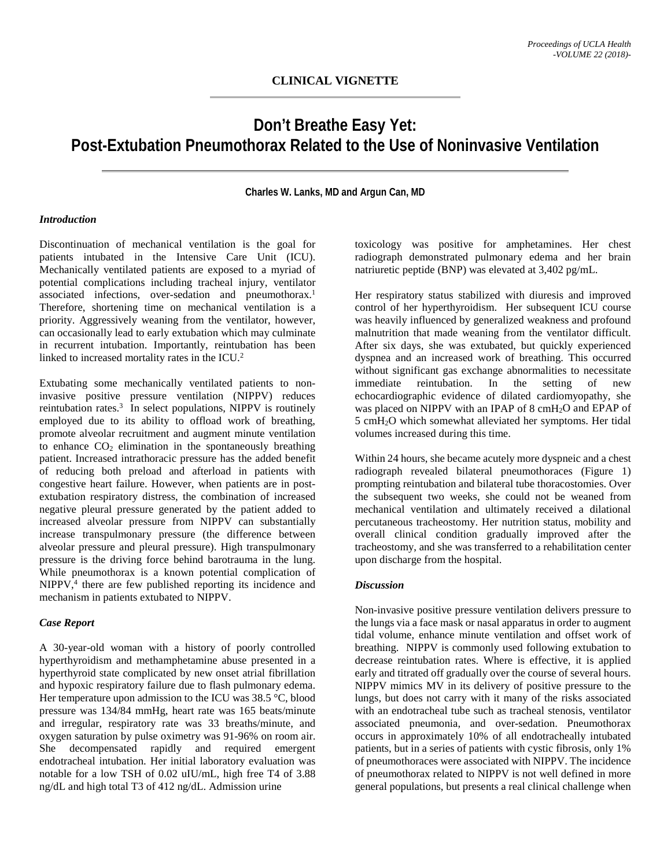# **Don't Breathe Easy Yet: Post-Extubation Pneumothorax Related to the Use of Noninvasive Ventilation**

**Charles W. Lanks, MD and Argun Can, MD**

### *Introduction*

Discontinuation of mechanical ventilation is the goal for patients intubated in the Intensive Care Unit (ICU). Mechanically ventilated patients are exposed to a myriad of potential complications including tracheal injury, ventilator associated infections, over-sedation and pneumothorax. 1 Therefore, shortening time on mechanical ventilation is a priority. Aggressively weaning from the ventilator, however, can occasionally lead to early extubation which may culminate in recurrent intubation. Importantly, reintubation has been linked to increased mortality rates in the ICU.<sup>2</sup>

Extubating some mechanically ventilated patients to noninvasive positive pressure ventilation (NIPPV) reduces reintubation rates.3 In select populations, NIPPV is routinely employed due to its ability to offload work of breathing, promote alveolar recruitment and augment minute ventilation to enhance  $CO<sub>2</sub>$  elimination in the spontaneously breathing patient. Increased intrathoracic pressure has the added benefit of reducing both preload and afterload in patients with congestive heart failure. However, when patients are in postextubation respiratory distress, the combination of increased negative pleural pressure generated by the patient added to increased alveolar pressure from NIPPV can substantially increase transpulmonary pressure (the difference between alveolar pressure and pleural pressure). High transpulmonary pressure is the driving force behind barotrauma in the lung. While pneumothorax is a known potential complication of NIPPV,<sup>4</sup> there are few published reporting its incidence and mechanism in patients extubated to NIPPV.

#### *Case Report*

A 30-year-old woman with a history of poorly controlled hyperthyroidism and methamphetamine abuse presented in a hyperthyroid state complicated by new onset atrial fibrillation and hypoxic respiratory failure due to flash pulmonary edema. Her temperature upon admission to the ICU was 38.5 °C, blood pressure was 134/84 mmHg, heart rate was 165 beats/minute and irregular, respiratory rate was 33 breaths/minute, and oxygen saturation by pulse oximetry was 91-96% on room air. She decompensated rapidly and required emergent endotracheal intubation. Her initial laboratory evaluation was notable for a low TSH of 0.02 uIU/mL, high free T4 of 3.88 ng/dL and high total T3 of 412 ng/dL. Admission urine

toxicology was positive for amphetamines. Her chest radiograph demonstrated pulmonary edema and her brain natriuretic peptide (BNP) was elevated at 3,402 pg/mL.

Her respiratory status stabilized with diuresis and improved control of her hyperthyroidism. Her subsequent ICU course was heavily influenced by generalized weakness and profound malnutrition that made weaning from the ventilator difficult. After six days, she was extubated, but quickly experienced dyspnea and an increased work of breathing. This occurred without significant gas exchange abnormalities to necessitate immediate reintubation. In the setting of new echocardiographic evidence of dilated cardiomyopathy, she was placed on NIPPV with an IPAP of 8 cmH<sub>2</sub>O and EPAP of 5 cmH2O which somewhat alleviated her symptoms. Her tidal volumes increased during this time.

Within 24 hours, she became acutely more dyspneic and a chest radiograph revealed bilateral pneumothoraces (Figure 1) prompting reintubation and bilateral tube thoracostomies. Over the subsequent two weeks, she could not be weaned from mechanical ventilation and ultimately received a dilational percutaneous tracheostomy. Her nutrition status, mobility and overall clinical condition gradually improved after the tracheostomy, and she was transferred to a rehabilitation center upon discharge from the hospital.

## *Discussion*

Non-invasive positive pressure ventilation delivers pressure to the lungs via a face mask or nasal apparatus in order to augment tidal volume, enhance minute ventilation and offset work of breathing. NIPPV is commonly used following extubation to decrease reintubation rates. Where is effective, it is applied early and titrated off gradually over the course of several hours. NIPPV mimics MV in its delivery of positive pressure to the lungs, but does not carry with it many of the risks associated with an endotracheal tube such as tracheal stenosis, ventilator associated pneumonia, and over-sedation. Pneumothorax occurs in approximately 10% of all endotracheally intubated patients, but in a series of patients with cystic fibrosis, only 1% of pneumothoraces were associated with NIPPV. The incidence of pneumothorax related to NIPPV is not well defined in more general populations, but presents a real clinical challenge when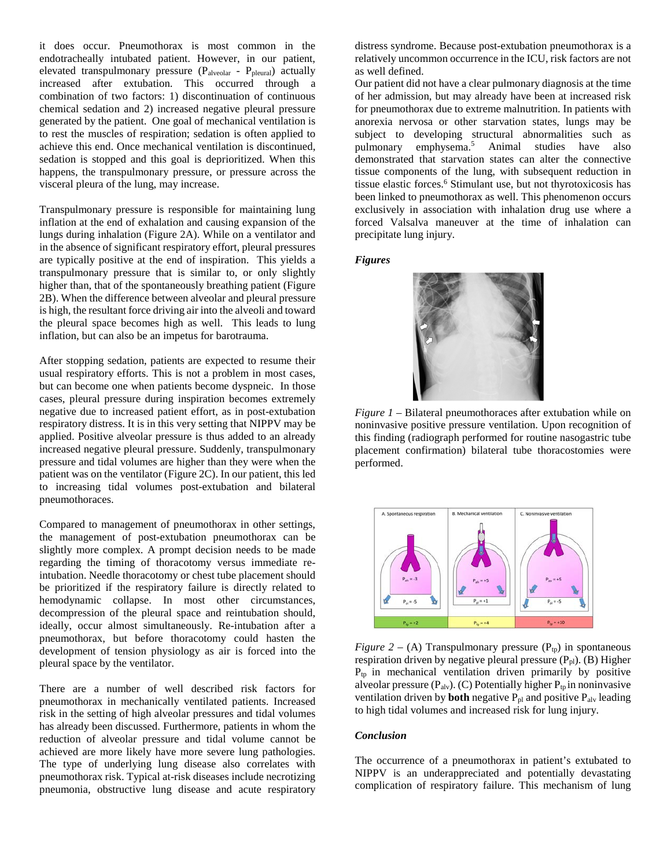it does occur. Pneumothorax is most common in the endotracheally intubated patient. However, in our patient, elevated transpulmonary pressure (Palveolar - Ppleural) actually increased after extubation. This occurred through a combination of two factors: 1) discontinuation of continuous chemical sedation and 2) increased negative pleural pressure generated by the patient. One goal of mechanical ventilation is to rest the muscles of respiration; sedation is often applied to achieve this end. Once mechanical ventilation is discontinued, sedation is stopped and this goal is deprioritized. When this happens, the transpulmonary pressure, or pressure across the visceral pleura of the lung, may increase.

Transpulmonary pressure is responsible for maintaining lung inflation at the end of exhalation and causing expansion of the lungs during inhalation (Figure 2A). While on a ventilator and in the absence of significant respiratory effort, pleural pressures are typically positive at the end of inspiration. This yields a transpulmonary pressure that is similar to, or only slightly higher than, that of the spontaneously breathing patient (Figure 2B). When the difference between alveolar and pleural pressure is high, the resultant force driving air into the alveoli and toward the pleural space becomes high as well. This leads to lung inflation, but can also be an impetus for barotrauma.

After stopping sedation, patients are expected to resume their usual respiratory efforts. This is not a problem in most cases, but can become one when patients become dyspneic. In those cases, pleural pressure during inspiration becomes extremely negative due to increased patient effort, as in post-extubation respiratory distress. It is in this very setting that NIPPV may be applied. Positive alveolar pressure is thus added to an already increased negative pleural pressure. Suddenly, transpulmonary pressure and tidal volumes are higher than they were when the patient was on the ventilator (Figure 2C). In our patient, this led to increasing tidal volumes post-extubation and bilateral pneumothoraces.

Compared to management of pneumothorax in other settings, the management of post-extubation pneumothorax can be slightly more complex. A prompt decision needs to be made regarding the timing of thoracotomy versus immediate reintubation. Needle thoracotomy or chest tube placement should be prioritized if the respiratory failure is directly related to hemodynamic collapse. In most other circumstances, decompression of the pleural space and reintubation should, ideally, occur almost simultaneously. Re-intubation after a pneumothorax, but before thoracotomy could hasten the development of tension physiology as air is forced into the pleural space by the ventilator.

There are a number of well described risk factors for pneumothorax in mechanically ventilated patients. Increased risk in the setting of high alveolar pressures and tidal volumes has already been discussed. Furthermore, patients in whom the reduction of alveolar pressure and tidal volume cannot be achieved are more likely have more severe lung pathologies. The type of underlying lung disease also correlates with pneumothorax risk. Typical at-risk diseases include necrotizing pneumonia, obstructive lung disease and acute respiratory distress syndrome. Because post-extubation pneumothorax is a relatively uncommon occurrence in the ICU, risk factors are not as well defined.

Our patient did not have a clear pulmonary diagnosis at the time of her admission, but may already have been at increased risk for pneumothorax due to extreme malnutrition. In patients with anorexia nervosa or other starvation states, lungs may be subject to developing structural abnormalities such as pulmonary emphysema. <sup>5</sup> Animal studies have also demonstrated that starvation states can alter the connective tissue components of the lung, with subsequent reduction in tissue elastic forces. <sup>6</sup> Stimulant use, but not thyrotoxicosis has been linked to pneumothorax as well. This phenomenon occurs exclusively in association with inhalation drug use where a forced Valsalva maneuver at the time of inhalation can precipitate lung injury.

*Figures*



*Figure 1* – Bilateral pneumothoraces after extubation while on noninvasive positive pressure ventilation. Upon recognition of this finding (radiograph performed for routine nasogastric tube placement confirmation) bilateral tube thoracostomies were performed.



*Figure 2 – (A)* Transpulmonary pressure  $(P_{tp})$  in spontaneous respiration driven by negative pleural pressure  $(P_{pl})$ . (B) Higher  $P_{tp}$  in mechanical ventilation driven primarily by positive alveolar pressure  $(P_{\text{alv}})$ . (C) Potentially higher  $P_{\text{tp}}$  in noninvasive ventilation driven by **both** negative  $P_{pl}$  and positive  $P_{alv}$  leading to high tidal volumes and increased risk for lung injury.

#### *Conclusion*

The occurrence of a pneumothorax in patient's extubated to NIPPV is an underappreciated and potentially devastating complication of respiratory failure. This mechanism of lung